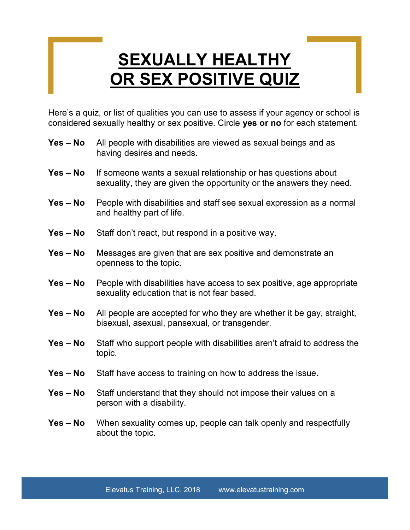## **SEXUALLY HEALTHY** OR SEX POSITIVE QUIZ

Here's a quiz, or list of qualities you can use to assess if your agency or school is considered sexually healthy or sex positive. Circle yes or no for each statement.

- Yes No All people with disabilities are viewed as sexual beings and as having desires and needs.
- Yes No If someone wants a sexual relationship or has questions about sexuality, they are given the opportunity or the answers they need.
- Yes No People with disabilities and staff see sexual expression as a normal and healthy part of life.
- Yes No Staff don't react, but respond in a positive way.
- Yes No Messages are given that are sex positive and demonstrate an openness to the topic.
- Yes No People with disabilities have access to sex positive, age appropriate sexuality education that is not fear based.
- Yes No All people are accepted for who they are whether it be gay, straight, bisexual, asexual, pansexual, or transgender.
- Yes No Staff who support people with disabilities aren't afraid to address the topic.
- Yes No Staff have access to training on how to address the issue.
- Yes No Staff understand that they should not impose their values on a person with a disability.
- Yes No When sexuality comes up, people can talk openly and respectfully about the topic.